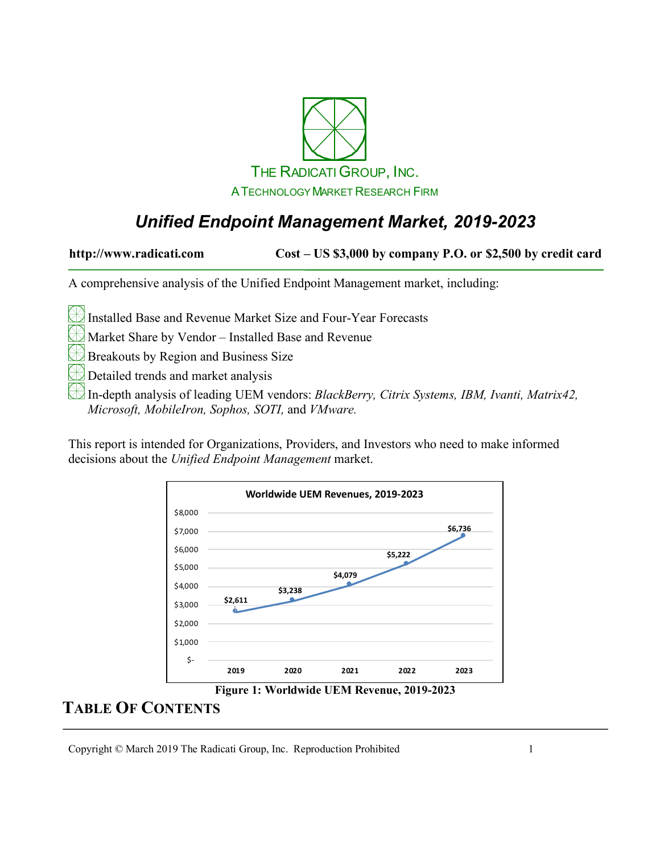

# *Unified Endpoint Management Market, 2019-2023*

**http://www.radicati.com Cost – US \$3,000 by company P.O. or \$2,500 by credit card**

A comprehensive analysis of the Unified Endpoint Management market, including:

Installed Base and Revenue Market Size and Four-Year Forecasts

Market Share by Vendor – Installed Base and Revenue

Breakouts by Region and Business Size

Detailed trends and market analysis

In-depth analysis of leading UEM vendors: *BlackBerry, Citrix Systems, IBM, Ivanti, Matrix42, Microsoft, MobileIron, Sophos, SOTI,* and *VMware.*

This report is intended for Organizations, Providers, and Investors who need to make informed decisions about the *Unified Endpoint Management* market.



**Figure 1: Worldwide UEM Revenue, 2019-2023**

#### **TABLE OF CONTENTS**

Copyright © March 2019 The Radicati Group, Inc. Reproduction Prohibited 1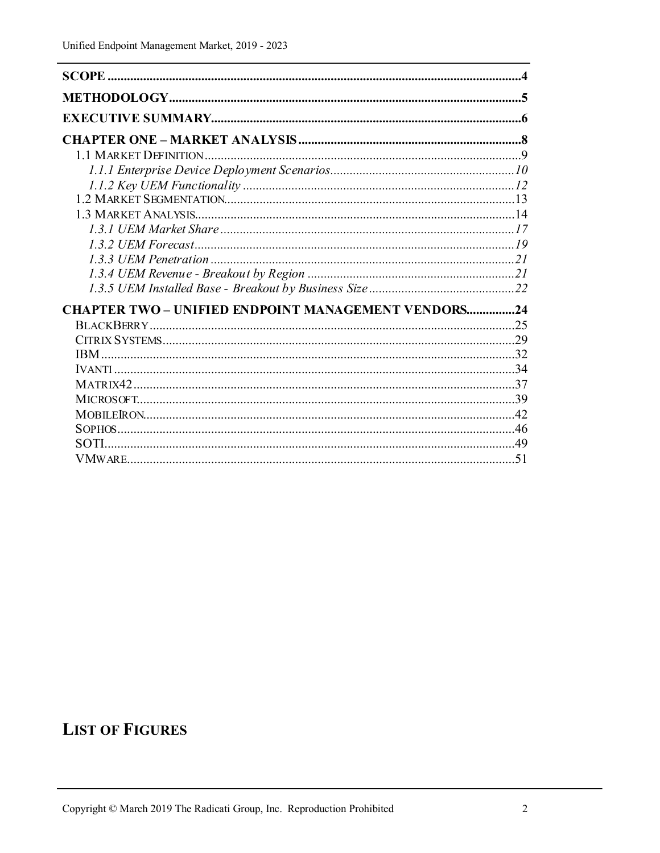| <b>CHAPTER TWO - UNIFIED ENDPOINT MANAGEMENT VENDORS24</b> |  |
|------------------------------------------------------------|--|
|                                                            |  |
|                                                            |  |
|                                                            |  |
|                                                            |  |
|                                                            |  |
|                                                            |  |
|                                                            |  |
|                                                            |  |
| SOTI                                                       |  |
|                                                            |  |

# **LIST OF FIGURES**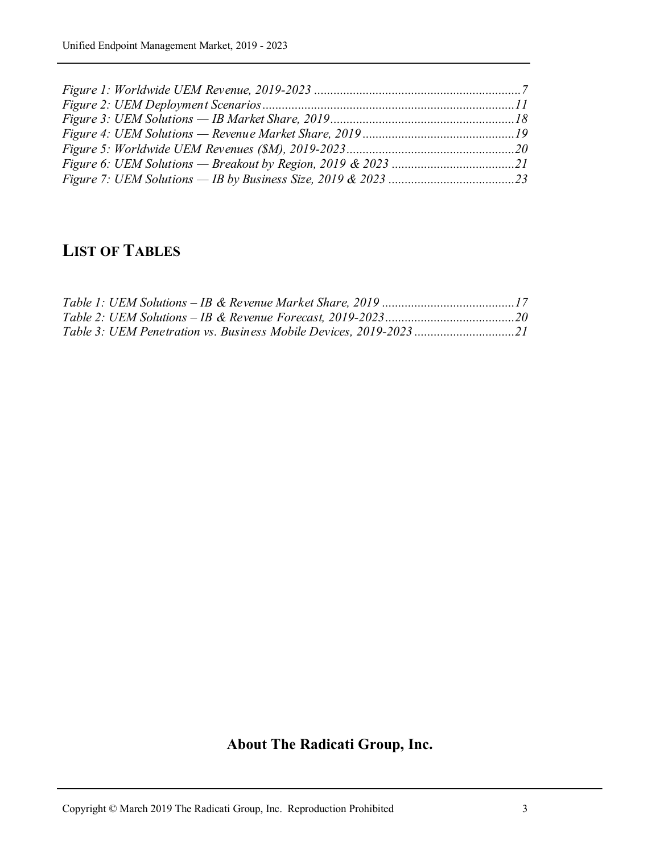### **LIST OF TABLES**

# **About The Radicati Group, Inc.**